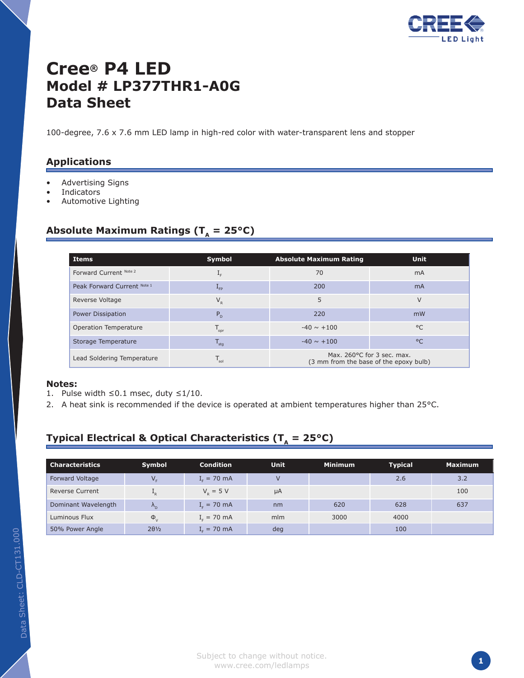

# **Cree® P4 LED Model # LP377THR1-A0G Data Sheet**

100-degree, 7.6 x 7.6 mm LED lamp in high-red color with water-transparent lens and stopper

#### **Applications**

- Advertising Signs •
- Indicators •
- Automotive Lighting •

#### Absolute Maximum Ratings ( $T_a = 25^{\circ}C$ )

| Items                       | Symbol                      | <b>Absolute Maximum Rating</b>                                       | <b>Unit</b>  |  |
|-----------------------------|-----------------------------|----------------------------------------------------------------------|--------------|--|
| Forward Current Note 2      | $1_{F}$                     | 70                                                                   | mA           |  |
| Peak Forward Current Note 1 | $L_{FP}$                    | 200                                                                  | mA           |  |
| Reverse Voltage             | $V_{R}$                     | 5                                                                    | $\vee$       |  |
| <b>Power Dissipation</b>    | $P_{D}$                     | 220                                                                  | mW           |  |
| Operation Temperature       | $T_{\text{opr}}$            | $-40 \sim +100$                                                      | $^{\circ}$   |  |
| Storage Temperature         | $I_{\text{stq}}$            | $-40 \sim +100$                                                      | $^{\circ}$ C |  |
| Lead Soldering Temperature  | $\mathsf{T}_{\mathsf{sol}}$ | Max. 260°C for 3 sec. max.<br>(3 mm from the base of the epoxy bulb) |              |  |

#### **Notes:**

- 1. Pulse width ≤0.1 msec, duty  $≤1/10$ .
- 2. A heat sink is recommended if the device is operated at ambient temperatures higher than  $25^{\circ}$ C.

## **Typical Electrical & Optical Characteristics (** $T_a = 25^{\circ}C$ **)**

| <b>Characteristics</b> | Symbol               | <b>Condition</b> | <b>Unit</b> | <b>Minimum</b> | <b>Typical</b> | <b>Maximum</b> |
|------------------------|----------------------|------------------|-------------|----------------|----------------|----------------|
| Forward Voltage        |                      | $I_c = 70$ mA    |             |                | 2.6            | 3.2            |
| <b>Reverse Current</b> | R                    | $V_p = 5 V$      | $\mu A$     |                |                | 100            |
| Dominant Wavelength    | $\Lambda_{\rm D}$    | $I_r = 70$ mA    | nm          | 620            | 628            | 637            |
| Luminous Flux          | $\Phi_{V}$           | $I_c = 70$ mA    | mlm         | 3000           | 4000           |                |
| 50% Power Angle        | $2\theta\frac{1}{2}$ | $Ir = 70$ mA     | deg         |                | 100            |                |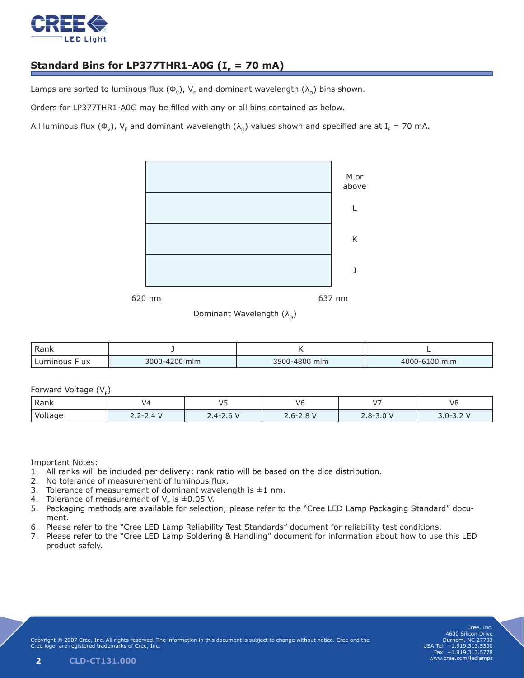

## Standard Bins for LP377THR1-A0G  $(I<sub>F</sub> = 70$  mA)

Lamps are sorted to luminous flux ( $\Phi_{v}$ ), V<sub>F</sub> and dominant wavelength ( $\lambda_{\rm D}$ ) bins shown.

Orders for LP377THR1-A0G may be filled with any or all bins contained as below.

All luminous flux ( $\Phi_v$ ), V<sub>F</sub> and dominant wavelength ( $\lambda_p$ ) values shown and specified are at I<sub>F</sub> = 70 mA.



Dominant Wavelength  $(\lambda_{\rm n})$ 

| Rank                    |               |               |               |  |
|-------------------------|---------------|---------------|---------------|--|
| Luminous<br><b>Flux</b> | 3000-4200 mlm | 3500-4800 mlm | 4000-6100 mlm |  |

#### Forward Voltage  $(V<sub>r</sub>)$

| -<br>-- |               |               |             |                          |                                           |
|---------|---------------|---------------|-------------|--------------------------|-------------------------------------------|
| Rank    | ۷Z            | $\sqrt{2}$    | V6          | $\overline{\phantom{a}}$ | V8                                        |
| Voltage | $2.2 - 2.4$ V | $2.4 - 2.6$ V | $2.6 - 2.8$ | $2.8 - 3.0 V$            | $\sim$<br>$\sim$<br>$3.0 - 3$<br>$-3.2$ . |

Important Notes:

- All ranks will be included per delivery; rank ratio will be based on the dice distribution. 1.
- 2. No tolerance of measurement of luminous flux.
- 3. Tolerance of measurement of dominant wavelength is  $\pm 1$  nm.
- 4. Tolerance of measurement of  $V_F$  is  $\pm 0.05$  V.
- 5. Packaging methods are available for selection; please refer to the "Cree LED Lamp Packaging Standard" document.
- 6. Please refer to the "Cree LED Lamp Reliability Test Standards" document for reliability test conditions.
- 7. Please refer to the "Cree LED Lamp Soldering & Handling" document for information about how to use this LED product safely.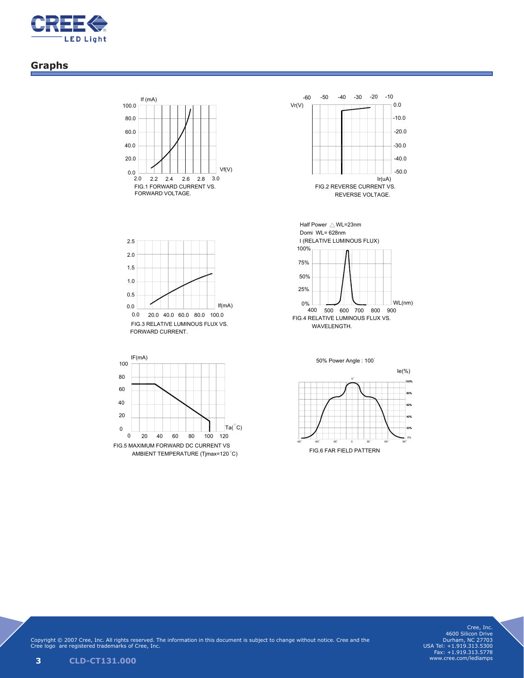

### **Graphs**













www.cree.com/ledlamps

Copyright © 2007 Cree, Inc. All rights reserved. The information in this document is subject to change without notice. Cree and the Cree logo are registered trademarks of Cree, Inc. Cree, Inc.<br>4600 Silicon Drive<br>Durham, NC 27703<br>USA Tel: +1.919.313.5300<br>Fax: +1.919.313.5778<br>www.cree.com/ledlamps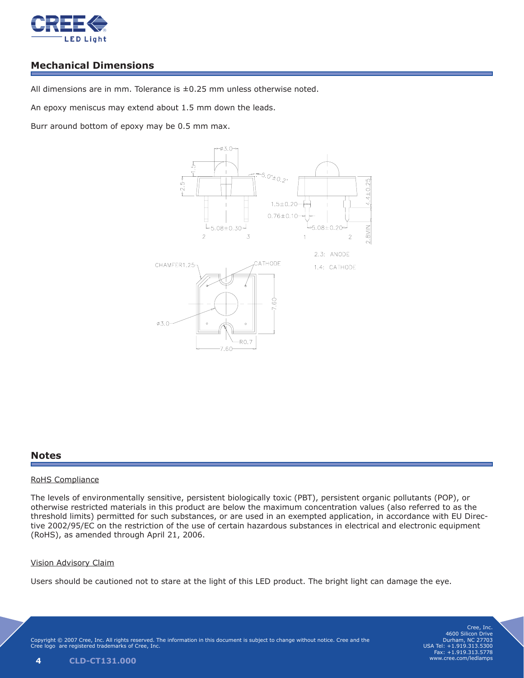

## **Mechanical Dimensions**

All dimensions are in mm. Tolerance is  $\pm 0.25$  mm unless otherwise noted.

An epoxy meniscus may extend about 1.5 mm down the leads.

Burr around bottom of epoxy may be 0.5 mm max. **Applications: Dimension Drawing**



Model No. LP377THR1-A0G

## **Notes**

(3m<del>m from the base of the epoxy bul</del>b)

#### RoHS Compliance

The levels of environmentally sensitive, persistent biologically toxic (PBT), persistent organic pollutants (POP), or The levels of environmentally sensitive, persistent biologically toxic (FDT), persistent organic pollutants (FOF), or<br>otherwise restricted materials in this product are below the maximum concentration values (also referred threshold limits) permitted for such substances, or are used in an exempted application, in accordance with EU Direc-<br>tive 2002/05/EC on the restriction of the use of certain hazardous substances in electrical and electron tive 2002/95/EC on the restriction of the use of certain hazardous substances in electrical and electronic equipment (RoHS), as amended through April 21, 2006.

#### Vision Advisory Claim

Users should be cautioned not to stare at the light of this LED product. The bright light can damage the eye.  $\overline{\text{Users} }$  shoule

Copyright © 2007 Cree, Inc. All rights reserved. The information in this document is subject to change without notice. Cree and the Cree logo are registered trademarks of Cree, Inc. Cree logo are registered trademarks of Cree, Inc.

Cree, Inc. 4600 Silicon Drive Durham, NC 27703 USA Tel: +1.919.313.5300 Fax: +1.919.313.5778 www.cree.com/ledlamps